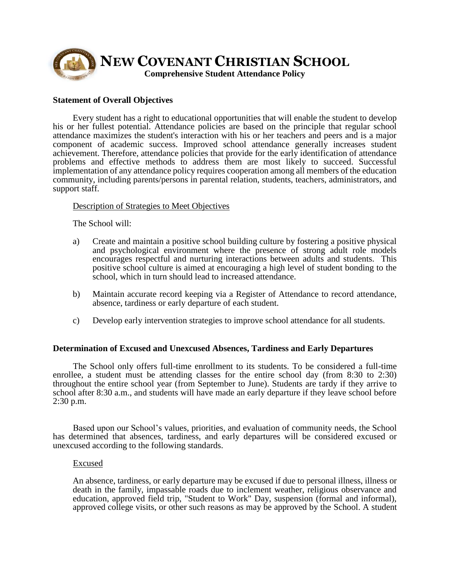

## **Statement of Overall Objectives**

Every student has a right to educational opportunities that will enable the student to develop his or her fullest potential. Attendance policies are based on the principle that regular school attendance maximizes the student's interaction with his or her teachers and peers and is a major component of academic success. Improved school attendance generally increases student achievement. Therefore, attendance policies that provide for the early identification of attendance problems and effective methods to address them are most likely to succeed. Successful implementation of any attendance policy requires cooperation among all members of the education community, including parents/persons in parental relation, students, teachers, administrators, and support staff.

## Description of Strategies to Meet Objectives

The School will:

- a) Create and maintain a positive school building culture by fostering a positive physical and psychological environment where the presence of strong adult role models encourages respectful and nurturing interactions between adults and students. This positive school culture is aimed at encouraging a high level of student bonding to the school, which in turn should lead to increased attendance.
- b) Maintain accurate record keeping via a Register of Attendance to record attendance, absence, tardiness or early departure of each student.
- c) Develop early intervention strategies to improve school attendance for all students.

### **Determination of Excused and Unexcused Absences, Tardiness and Early Departures**

The School only offers full-time enrollment to its students. To be considered a full-time enrollee, a student must be attending classes for the entire school day (from 8:30 to 2:30) throughout the entire school year (from September to June). Students are tardy if they arrive to school after 8:30 a.m., and students will have made an early departure if they leave school before 2:30 p.m.

Based upon our School's values, priorities, and evaluation of community needs, the School has determined that absences, tardiness, and early departures will be considered excused or unexcused according to the following standards.

### Excused

An absence, tardiness, or early departure may be excused if due to personal illness, illness or death in the family, impassable roads due to inclement weather, religious observance and education, approved field trip, "Student to Work" Day, suspension (formal and informal), approved college visits, or other such reasons as may be approved by the School. A student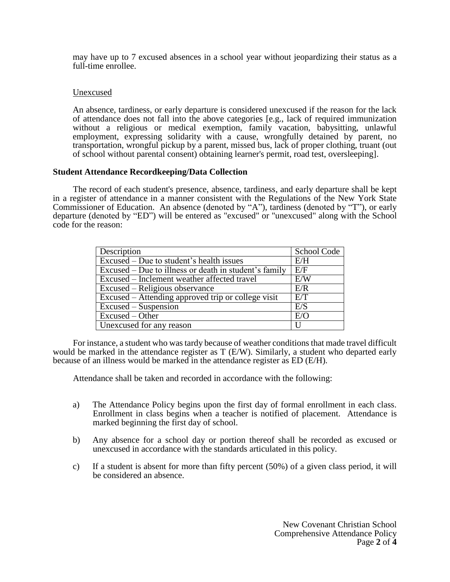may have up to 7 excused absences in a school year without jeopardizing their status as a full-time enrollee.

# Unexcused

An absence, tardiness, or early departure is considered unexcused if the reason for the lack of attendance does not fall into the above categories [e.g., lack of required immunization without a religious or medical exemption, family vacation, babysitting, unlawful employment, expressing solidarity with a cause, wrongfully detained by parent, no transportation, wrongful pickup by a parent, missed bus, lack of proper clothing, truant (out of school without parental consent) obtaining learner's permit, road test, oversleeping].

# **Student Attendance Recordkeeping/Data Collection**

The record of each student's presence, absence, tardiness, and early departure shall be kept in a register of attendance in a manner consistent with the Regulations of the New York State Commissioner of Education. An absence (denoted by "A"), tardiness (denoted by "T"), or early departure (denoted by "ED") will be entered as "excused" or "unexcused" along with the School code for the reason:

| Description                                           | School Code |
|-------------------------------------------------------|-------------|
| Excused – Due to student's health issues              | E/H         |
| Excused – Due to illness or death in student's family | E/F         |
| Excused – Inclement weather affected travel           | E/W         |
| Excused – Religious observance                        | E/R         |
| Excused – Attending approved trip or college visit    | E/T         |
| Excused – Suspension                                  | E/S         |
| Excused – Other                                       | $E/\Omega$  |
| Unexcused for any reason                              |             |

For instance, a student who was tardy because of weather conditions that made travel difficult would be marked in the attendance register as T (E/W). Similarly, a student who departed early because of an illness would be marked in the attendance register as ED (E/H).

Attendance shall be taken and recorded in accordance with the following:

- a) The Attendance Policy begins upon the first day of formal enrollment in each class. Enrollment in class begins when a teacher is notified of placement. Attendance is marked beginning the first day of school.
- b) Any absence for a school day or portion thereof shall be recorded as excused or unexcused in accordance with the standards articulated in this policy.
- c) If a student is absent for more than fifty percent (50%) of a given class period, it will be considered an absence.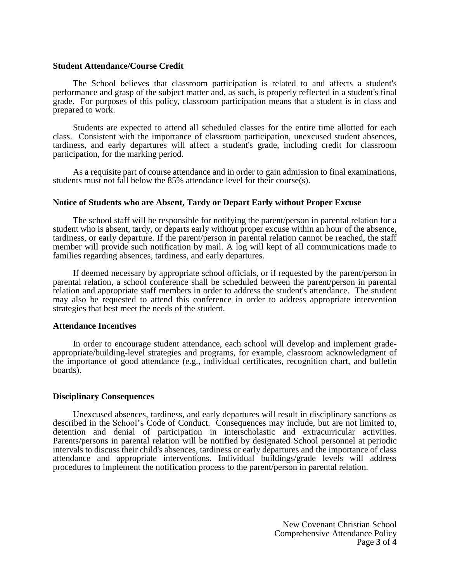### **Student Attendance/Course Credit**

The School believes that classroom participation is related to and affects a student's performance and grasp of the subject matter and, as such, is properly reflected in a student's final grade. For purposes of this policy, classroom participation means that a student is in class and prepared to work.

Students are expected to attend all scheduled classes for the entire time allotted for each class. Consistent with the importance of classroom participation, unexcused student absences, tardiness, and early departures will affect a student's grade, including credit for classroom participation, for the marking period.

As a requisite part of course attendance and in order to gain admission to final examinations, students must not fall below the 85% attendance level for their course(s).

## **Notice of Students who are Absent, Tardy or Depart Early without Proper Excuse**

The school staff will be responsible for notifying the parent/person in parental relation for a student who is absent, tardy, or departs early without proper excuse within an hour of the absence, tardiness, or early departure. If the parent/person in parental relation cannot be reached, the staff member will provide such notification by mail. A log will kept of all communications made to families regarding absences, tardiness, and early departures.

If deemed necessary by appropriate school officials, or if requested by the parent/person in parental relation, a school conference shall be scheduled between the parent/person in parental relation and appropriate staff members in order to address the student's attendance. The student may also be requested to attend this conference in order to address appropriate intervention strategies that best meet the needs of the student.

### **Attendance Incentives**

In order to encourage student attendance, each school will develop and implement gradeappropriate/building-level strategies and programs, for example, classroom acknowledgment of the importance of good attendance (e.g., individual certificates, recognition chart, and bulletin boards).

### **Disciplinary Consequences**

Unexcused absences, tardiness, and early departures will result in disciplinary sanctions as described in the School's Code of Conduct. Consequences may include, but are not limited to, detention and denial of participation in interscholastic and extracurricular activities. Parents/persons in parental relation will be notified by designated School personnel at periodic intervals to discuss their child's absences, tardiness or early departures and the importance of class attendance and appropriate interventions. Individual buildings/grade levels will address procedures to implement the notification process to the parent/person in parental relation.